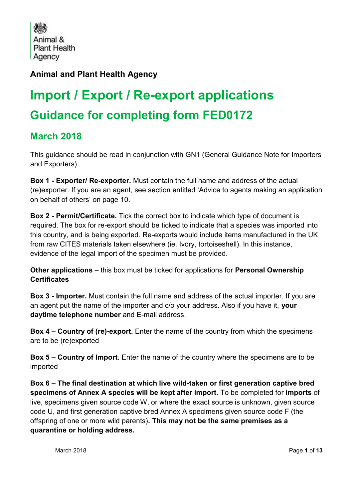Animal & **Plant Health** Agency

## **Animal and Plant Health Agency**

# **Import / Export / Re-export applications Guidance for completing form FED0172**

## **March 2018**

This guidance should be read in conjunction with GN1 (General Guidance Note for Importers and Exporters)

**Box 1 - Exporter/ Re-exporter.** Must contain the full name and address of the actual (re)exporter. If you are an agent, see section entitled 'Advice to agents making an application on behalf of others' on page 10.

**Box 2 - Permit/Certificate.** Tick the correct box to indicate which type of document is required. The box for re-export should be ticked to indicate that a species was imported into this country, and is being exported. Re-exports would include items manufactured in the UK from raw CITES materials taken elsewhere (ie. Ivory, tortoiseshell). In this instance, evidence of the legal import of the specimen must be provided.

**Other applications** – this box must be ticked for applications for **Personal Ownership Certificates**

**Box 3 - Importer.** Must contain the full name and address of the actual importer. If you are an agent put the name of the importer and c/o your address. Also if you have it, **your daytime telephone number** and E-mail address.

**Box 4 – Country of (re)-export.** Enter the name of the country from which the specimens are to be (re)exported

**Box 5 – Country of Import.** Enter the name of the country where the specimens are to be imported

**Box 6 – The final destination at which live wild-taken or first generation captive bred specimens of Annex A species will be kept after import.** To be completed for **imports** of live, specimens given source code W, or where the exact source is unknown, given source code U, and first generation captive bred Annex A specimens given source code F (the offspring of one or more wild parents)**. This may not be the same premises as a quarantine or holding address.**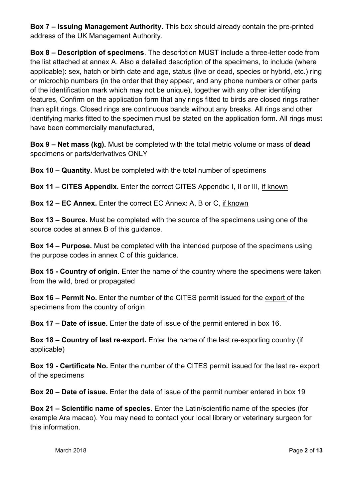**Box 7 – Issuing Management Authority.** This box should already contain the pre-printed address of the UK Management Authority.

**Box 8 – Description of specimens**. The description MUST include a three-letter code from the list attached at annex A. Also a detailed description of the specimens, to include (where applicable): sex, hatch or birth date and age, status (live or dead, species or hybrid, etc.) ring or microchip numbers (in the order that they appear, and any phone numbers or other parts of the identification mark which may not be unique), together with any other identifying features, Confirm on the application form that any rings fitted to birds are closed rings rather than split rings. Closed rings are continuous bands without any breaks. All rings and other identifying marks fitted to the specimen must be stated on the application form. All rings must have been commercially manufactured,

**Box 9 – Net mass (kg).** Must be completed with the total metric volume or mass of **dead** specimens or parts/derivatives ONLY

**Box 10 – Quantity.** Must be completed with the total number of specimens

**Box 11 – CITES Appendix.** Enter the correct CITES Appendix: I, II or III, if known

**Box 12 – EC Annex.** Enter the correct EC Annex: A, B or C, if known

**Box 13 – Source.** Must be completed with the source of the specimens using one of the source codes at annex B of this guidance.

**Box 14 – Purpose.** Must be completed with the intended purpose of the specimens using the purpose codes in annex C of this guidance.

**Box 15 - Country of origin.** Enter the name of the country where the specimens were taken from the wild, bred or propagated

**Box 16 – Permit No.** Enter the number of the CITES permit issued for the export of the specimens from the country of origin

**Box 17 – Date of issue.** Enter the date of issue of the permit entered in box 16.

**Box 18 – Country of last re-export.** Enter the name of the last re-exporting country (if applicable)

**Box 19 - Certificate No.** Enter the number of the CITES permit issued for the last re- export of the specimens

**Box 20 – Date of issue.** Enter the date of issue of the permit number entered in box 19

**Box 21 – Scientific name of species.** Enter the Latin/scientific name of the species (for example Ara macao). You may need to contact your local library or veterinary surgeon for this information.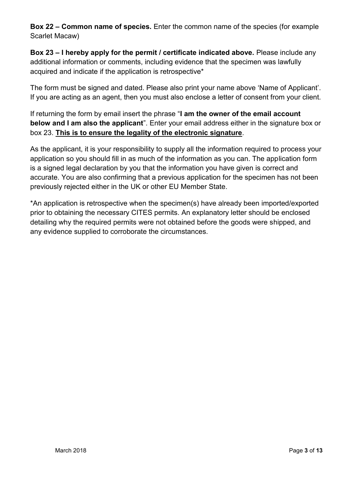**Box 22 – Common name of species.** Enter the common name of the species (for example Scarlet Macaw)

**Box 23 – I hereby apply for the permit / certificate indicated above.** Please include any additional information or comments, including evidence that the specimen was lawfully acquired and indicate if the application is retrospective\*

The form must be signed and dated. Please also print your name above 'Name of Applicant'. If you are acting as an agent, then you must also enclose a letter of consent from your client.

If returning the form by email insert the phrase "**I am the owner of the email account below and I am also the applicant**". Enter your email address either in the signature box or box 23. **This is to ensure the legality of the electronic signature**.

As the applicant, it is your responsibility to supply all the information required to process your application so you should fill in as much of the information as you can. The application form is a signed legal declaration by you that the information you have given is correct and accurate. You are also confirming that a previous application for the specimen has not been previously rejected either in the UK or other EU Member State.

\*An application is retrospective when the specimen(s) have already been imported/exported prior to obtaining the necessary CITES permits. An explanatory letter should be enclosed detailing why the required permits were not obtained before the goods were shipped, and any evidence supplied to corroborate the circumstances.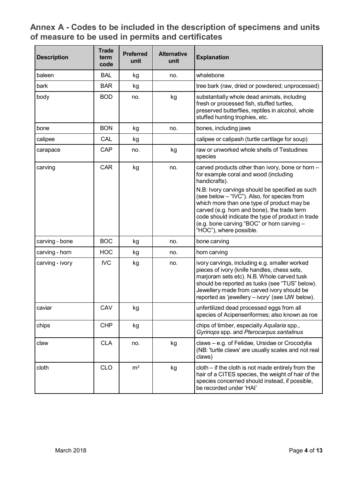## **Annex A - Codes to be included in the description of specimens and units of measure to be used in permits and certificates**

| <b>Description</b> | <b>Trade</b><br>term<br>code | <b>Preferred</b><br>unit | <b>Alternative</b><br>unit | <b>Explanation</b>                                                                                                                                                                                                                                                                                                        |  |
|--------------------|------------------------------|--------------------------|----------------------------|---------------------------------------------------------------------------------------------------------------------------------------------------------------------------------------------------------------------------------------------------------------------------------------------------------------------------|--|
| baleen             | <b>BAL</b>                   | kg                       | no.                        | whalebone                                                                                                                                                                                                                                                                                                                 |  |
| bark               | <b>BAR</b>                   | kg                       |                            | tree bark (raw, dried or powdered; unprocessed)                                                                                                                                                                                                                                                                           |  |
| body               | <b>BOD</b>                   | no.                      | kg                         | substantially whole dead animals, including<br>fresh or processed fish, stuffed turtles,<br>preserved butterflies, reptiles in alcohol, whole<br>stuffed hunting trophies, etc.                                                                                                                                           |  |
| bone               | <b>BON</b>                   | kg                       | no.                        | bones, including jaws                                                                                                                                                                                                                                                                                                     |  |
| calipee            | CAL                          | kg                       |                            | calipee or calipash (turtle cartilage for soup)                                                                                                                                                                                                                                                                           |  |
| carapace           | <b>CAP</b>                   | no.                      | kg                         | raw or unworked whole shells of Testudines<br>species                                                                                                                                                                                                                                                                     |  |
| carving            | <b>CAR</b>                   | kg                       | no.                        | carved products other than ivory, bone or horn -<br>for example coral and wood (including<br>handicrafts).                                                                                                                                                                                                                |  |
|                    |                              |                          |                            | N.B: Ivory carvings should be specified as such<br>(see below - "IVC"). Also, for species from<br>which more than one type of product may be<br>carved (e.g. horn and bone), the trade term<br>code should indicate the type of product in trade<br>(e.g. bone carving "BOC" or horn carving -<br>"HOC"), where possible. |  |
| carving - bone     | <b>BOC</b>                   | kg                       | no.                        | bone carving                                                                                                                                                                                                                                                                                                              |  |
| carving - horn     | <b>HOC</b>                   | kg                       | no.                        | horn carving                                                                                                                                                                                                                                                                                                              |  |
| carving - ivory    | <b>IVC</b>                   | kg                       | no.                        | ivory carvings, including e.g. smaller worked<br>pieces of ivory (knife handles, chess sets,<br>marjoram sets etc). N.B. Whole carved tusk<br>should be reported as tusks (see "TUS" below).<br>Jewellery made from carved ivory should be<br>reported as 'jewellery - ivory' (see IJW below).                            |  |
| caviar             | CAV                          | kg                       |                            | unfertilized dead processed eggs from all<br>species of Acipenseriformes; also known as roe                                                                                                                                                                                                                               |  |
| chips              | <b>CHP</b>                   | kg                       |                            | chips of timber, especially Aquilaria spp.,<br>Gyrinops spp. and Pterocarpus santalinus                                                                                                                                                                                                                                   |  |
| claw               | <b>CLA</b>                   | no.                      | kg                         | claws - e.g. of Felidae, Ursidae or Crocodylia<br>(NB: 'turtle claws' are usually scales and not real<br>claws)                                                                                                                                                                                                           |  |
| cloth              | <b>CLO</b>                   | m <sup>2</sup>           | kg                         | $cloth$ – if the cloth is not made entirely from the<br>hair of a CITES species, the weight of hair of the<br>species concerned should instead, if possible,<br>be recorded under 'HAI'                                                                                                                                   |  |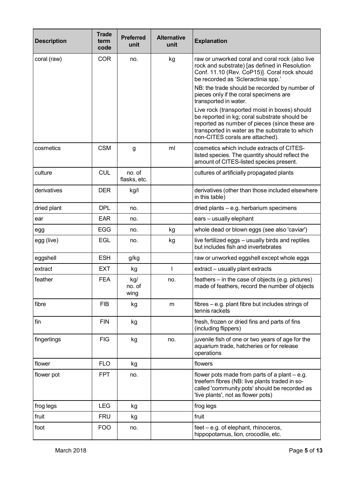| <b>Description</b> | <b>Trade</b><br>term<br>code | <b>Preferred</b><br>unit | <b>Alternative</b><br>unit | <b>Explanation</b>                                                                                                                                                                                                                  |  |
|--------------------|------------------------------|--------------------------|----------------------------|-------------------------------------------------------------------------------------------------------------------------------------------------------------------------------------------------------------------------------------|--|
| coral (raw)        | <b>COR</b>                   | no.                      | kg                         | raw or unworked coral and coral rock (also live<br>rock and substrate) [as defined in Resolution<br>Conf. 11.10 (Rev. CoP15)]. Coral rock should<br>be recorded as 'Scleractinia spp.'                                              |  |
|                    |                              |                          |                            | NB: the trade should be recorded by number of<br>pieces only if the coral specimens are<br>transported in water.                                                                                                                    |  |
|                    |                              |                          |                            | Live rock (transported moist in boxes) should<br>be reported in kg; coral substrate should be<br>reported as number of pieces (since these are<br>transported in water as the substrate to which<br>non-CITES corals are attached). |  |
| cosmetics          | <b>CSM</b>                   | g                        | ml                         | cosmetics which include extracts of CITES-<br>listed species. The quantity should reflect the<br>amount of CITES-listed species present.                                                                                            |  |
| culture            | <b>CUL</b>                   | no. of<br>flasks, etc.   |                            | cultures of artificially propagated plants                                                                                                                                                                                          |  |
| derivatives        | <b>DER</b>                   | kg/l                     |                            | derivatives (other than those included elsewhere<br>in this table)                                                                                                                                                                  |  |
| dried plant        | <b>DPL</b>                   | no.                      |                            | dried plants - e.g. herbarium specimens                                                                                                                                                                                             |  |
| ear                | <b>EAR</b>                   | no.                      |                            | ears - usually elephant                                                                                                                                                                                                             |  |
| egg                | <b>EGG</b>                   | no.                      | kg                         | whole dead or blown eggs (see also 'caviar')                                                                                                                                                                                        |  |
| egg (live)         | <b>EGL</b>                   | no.                      | kg                         | live fertilized eggs - usually birds and reptiles<br>but includes fish and invertebrates                                                                                                                                            |  |
| eggshell           | <b>ESH</b>                   | g/kg                     |                            | raw or unworked eggshell except whole eggs                                                                                                                                                                                          |  |
| extract            | <b>EXT</b>                   | kg                       |                            | extract - usually plant extracts                                                                                                                                                                                                    |  |
| feather            | <b>FEA</b>                   | kg/<br>no. of<br>wing    | no.                        | feathers – in the case of objects (e.g. pictures)<br>made of feathers, record the number of objects                                                                                                                                 |  |
| fibre              | <b>FIB</b>                   | kg                       | m                          | fibres $-$ e.g. plant fibre but includes strings of<br>tennis rackets                                                                                                                                                               |  |
| fin                | <b>FIN</b>                   | kg                       |                            | fresh, frozen or dried fins and parts of fins<br>(including flippers)                                                                                                                                                               |  |
| fingerlings        | <b>FIG</b>                   | kg                       | no.                        | juvenile fish of one or two years of age for the<br>aquarium trade, hatcheries or for release<br>operations                                                                                                                         |  |
| flower             | <b>FLO</b>                   | kg                       |                            | flowers                                                                                                                                                                                                                             |  |
| flower pot         | <b>FPT</b>                   | no.                      |                            | flower pots made from parts of a plant $-$ e.g.<br>treefern fibres (NB: live plants traded in so-<br>called 'community pots' should be recorded as<br>'live plants', not as flower pots)                                            |  |
| frog legs          | <b>LEG</b>                   | kg                       |                            | frog legs                                                                                                                                                                                                                           |  |
| fruit              | <b>FRU</b>                   | kg                       |                            | fruit                                                                                                                                                                                                                               |  |
| foot               | <b>FOO</b>                   | no.                      |                            | feet – e.g. of elephant, rhinoceros,<br>hippopotamus, lion, crocodile, etc.                                                                                                                                                         |  |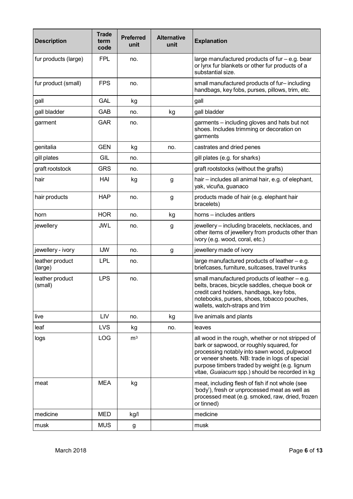| <b>Description</b>         | <b>Trade</b><br>term<br>code | <b>Preferred</b><br>unit | <b>Alternative</b><br>unit | <b>Explanation</b>                                                                                                                                                                                                                                                                                |  |
|----------------------------|------------------------------|--------------------------|----------------------------|---------------------------------------------------------------------------------------------------------------------------------------------------------------------------------------------------------------------------------------------------------------------------------------------------|--|
| fur products (large)       | <b>FPL</b>                   | no.                      |                            | large manufactured products of fur - e.g. bear<br>or lynx fur blankets or other fur products of a<br>substantial size.                                                                                                                                                                            |  |
| fur product (small)        | <b>FPS</b>                   | no.                      |                            | small manufactured products of fur-including<br>handbags, key fobs, purses, pillows, trim, etc.                                                                                                                                                                                                   |  |
| gall                       | <b>GAL</b>                   | kg                       |                            | gall                                                                                                                                                                                                                                                                                              |  |
| gall bladder               | GAB                          | no.                      | kg                         | gall bladder                                                                                                                                                                                                                                                                                      |  |
| garment                    | <b>GAR</b>                   | no.                      |                            | garments - including gloves and hats but not<br>shoes. Includes trimming or decoration on<br>garments                                                                                                                                                                                             |  |
| genitalia                  | <b>GEN</b>                   | kg                       | no.                        | castrates and dried penes                                                                                                                                                                                                                                                                         |  |
| gill plates                | GIL                          | no.                      |                            | gill plates (e.g. for sharks)                                                                                                                                                                                                                                                                     |  |
| graft rootstock            | <b>GRS</b>                   | no.                      |                            | graft rootstocks (without the grafts)                                                                                                                                                                                                                                                             |  |
| hair                       | HAI                          | kg                       | g                          | hair – includes all animal hair, e.g. of elephant,<br>yak, vicuña, guanaco                                                                                                                                                                                                                        |  |
| hair products              | <b>HAP</b>                   | no.                      | g                          | products made of hair (e.g. elephant hair<br>bracelets)                                                                                                                                                                                                                                           |  |
| horn                       | <b>HOR</b>                   | no.                      | kg                         | horns – includes antlers                                                                                                                                                                                                                                                                          |  |
| jewellery                  | <b>JWL</b>                   | no.                      | g                          | jewellery - including bracelets, necklaces, and<br>other items of jewellery from products other than<br>ivory (e.g. wood, coral, etc.)                                                                                                                                                            |  |
| jewellery - ivory          | <b>IJW</b>                   | no.                      | g                          | jewellery made of ivory                                                                                                                                                                                                                                                                           |  |
| leather product<br>(large) | <b>LPL</b>                   | no.                      |                            | large manufactured products of leather - e.g.<br>briefcases, furniture, suitcases, travel trunks                                                                                                                                                                                                  |  |
| leather product<br>(small) | <b>LPS</b>                   | no.                      |                            | small manufactured products of leather – e.g.<br>belts, braces, bicycle saddles, cheque book or<br>credit card holders, handbags, key fobs,<br>notebooks, purses, shoes, tobacco pouches,<br>wallets, watch-straps and trim                                                                       |  |
| live                       | LIV                          | no.                      | kg                         | live animals and plants                                                                                                                                                                                                                                                                           |  |
| leaf                       | <b>LVS</b>                   | kg                       | no.                        | leaves                                                                                                                                                                                                                                                                                            |  |
| logs                       | LOG                          | m <sup>3</sup>           |                            | all wood in the rough, whether or not stripped of<br>bark or sapwood, or roughly squared, for<br>processing notably into sawn wood, pulpwood<br>or veneer sheets. NB: trade in logs of special<br>purpose timbers traded by weight (e.g. lignum<br>vitae, Guaiacum spp.) should be recorded in kg |  |
| meat                       | <b>MEA</b>                   | kg                       |                            | meat, including flesh of fish if not whole (see<br>'body'), fresh or unprocessed meat as well as<br>processed meat (e.g. smoked, raw, dried, frozen<br>or tinned)                                                                                                                                 |  |
| medicine                   | <b>MED</b>                   | kg/l                     |                            | medicine                                                                                                                                                                                                                                                                                          |  |
| musk                       | <b>MUS</b>                   | g                        |                            | musk                                                                                                                                                                                                                                                                                              |  |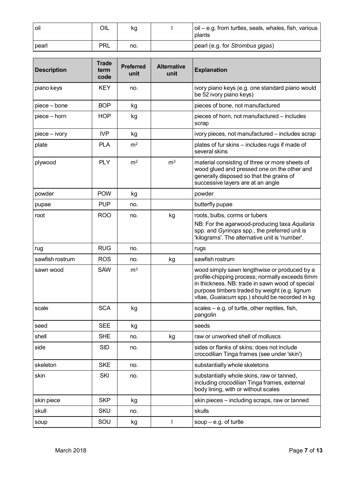| l oil        | OIL        | κg  | $\vert$ oil – e.g. from turtles, seals, whales, fish, various<br>plants |
|--------------|------------|-----|-------------------------------------------------------------------------|
| <b>Dearl</b> | <b>PRL</b> | no. | I pearl (e.g. for Strombus gigas)                                       |

| <b>Description</b> | <b>Trade</b><br>term<br>code | <b>Preferred</b><br>unit | <b>Alternative</b><br>unit | <b>Explanation</b>                                                                                                                                                                                                                                   |  |
|--------------------|------------------------------|--------------------------|----------------------------|------------------------------------------------------------------------------------------------------------------------------------------------------------------------------------------------------------------------------------------------------|--|
| piano keys         | <b>KEY</b>                   | no.                      |                            | ivory piano keys (e.g. one standard piano would<br>be 52 ivory piano keys)                                                                                                                                                                           |  |
| piece – bone       | <b>BOP</b>                   | kg                       |                            | pieces of bone, not manufactured                                                                                                                                                                                                                     |  |
| piece - horn       | <b>HOP</b>                   | kg                       |                            | pieces of horn, not manufactured – includes<br>scrap                                                                                                                                                                                                 |  |
| piece – ivory      | <b>IVP</b>                   | kg                       |                            | ivory pieces, not manufactured - includes scrap                                                                                                                                                                                                      |  |
| plate              | <b>PLA</b>                   | m <sup>2</sup>           |                            | plates of fur skins - includes rugs if made of<br>several skins                                                                                                                                                                                      |  |
| plywood            | <b>PLY</b>                   | m <sup>2</sup>           | m <sup>3</sup>             | material consisting of three or more sheets of<br>wood glued and pressed one on the other and<br>generally disposed so that the grains of<br>successive layers are at an angle                                                                       |  |
| powder             | <b>POW</b>                   | kg                       |                            | powder                                                                                                                                                                                                                                               |  |
| pupae              | <b>PUP</b>                   | no.                      |                            | butterfly pupae                                                                                                                                                                                                                                      |  |
| root               | <b>ROO</b>                   | no.                      | kg                         | roots, bulbs, corms or tubers<br>NB: For the agarwood-producing taxa Aquilaria<br>spp. and Gyrinops spp., the preferred unit is<br>'kilograms'. The alternative unit is 'number'.                                                                    |  |
| rug                | <b>RUG</b>                   | no.                      |                            | rugs                                                                                                                                                                                                                                                 |  |
| sawfish rostrum    | <b>ROS</b>                   | no.                      | kg                         | sawfish rostrum                                                                                                                                                                                                                                      |  |
| sawn wood          | <b>SAW</b>                   | m <sup>3</sup>           |                            | wood simply sawn lengthwise or produced by a<br>profile-chipping process; normally exceeds 6mm<br>in thickness. NB: trade in sawn wood of special<br>purpose timbers traded by weight (e.g. lignum<br>vitae, Guaiacum spp.) should be recorded in kg |  |
| scale              | <b>SCA</b>                   | kg                       |                            | scales - e.g. of turtle, other reptiles, fish,<br>pangolin                                                                                                                                                                                           |  |
| seed               | SEE                          | kg                       |                            | seeds                                                                                                                                                                                                                                                |  |
| shell              | <b>SHE</b>                   | no.                      | kg                         | raw or unworked shell of molluscs                                                                                                                                                                                                                    |  |
| side               | <b>SID</b>                   | no.                      |                            | sides or flanks of skins; does not include<br>crocodilian Tinga frames (see under 'skin')                                                                                                                                                            |  |
| skeleton           | <b>SKE</b>                   | no.                      |                            | substantially whole skeletons                                                                                                                                                                                                                        |  |
| skin               | SKI                          | no.                      |                            | substantially whole skins, raw or tanned,<br>including crocodilian Tinga frames, external<br>body lining, with or without scales                                                                                                                     |  |
| skin piece         | <b>SKP</b>                   | kg                       |                            | skin pieces - including scraps, raw or tanned                                                                                                                                                                                                        |  |
| skull              | <b>SKU</b>                   | no.                      |                            | skulls                                                                                                                                                                                                                                               |  |
| soup               | SOU                          | kg                       | T                          | soup $-$ e.g. of turtle                                                                                                                                                                                                                              |  |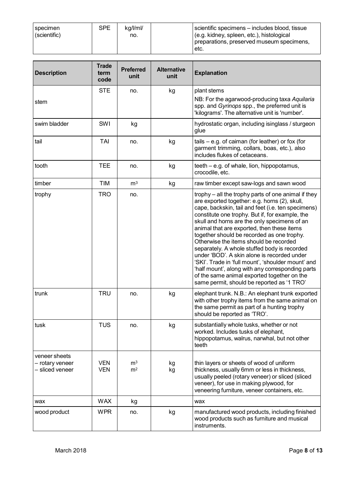| specimen<br>(scientific) | <b>SPE</b> | ka/l/ml/<br>no. | scientific specimens – includes blood, tissue<br>(e.g. kidney, spleen, etc.), histological<br>preparations, preserved museum specimens, |
|--------------------------|------------|-----------------|-----------------------------------------------------------------------------------------------------------------------------------------|
|                          |            |                 | ±etc.                                                                                                                                   |

| <b>Description</b>                                  | <b>Trade</b><br>term<br>code | <b>Preferred</b><br>unit         | <b>Alternative</b><br>unit | <b>Explanation</b>                                                                                                                                                                                                                                                                                                                                                                                                                                                                                                                                                                                                                                                                                        |  |
|-----------------------------------------------------|------------------------------|----------------------------------|----------------------------|-----------------------------------------------------------------------------------------------------------------------------------------------------------------------------------------------------------------------------------------------------------------------------------------------------------------------------------------------------------------------------------------------------------------------------------------------------------------------------------------------------------------------------------------------------------------------------------------------------------------------------------------------------------------------------------------------------------|--|
| stem                                                | <b>STE</b>                   | no.                              | kg                         | plant stems<br>NB: For the agarwood-producing taxa Aquilaria<br>spp. and Gyrinops spp., the preferred unit is<br>'kilograms'. The alternative unit is 'number'.                                                                                                                                                                                                                                                                                                                                                                                                                                                                                                                                           |  |
| swim bladder                                        | SWI                          | kg                               |                            | hydrostatic organ, including isinglass / sturgeon<br>glue                                                                                                                                                                                                                                                                                                                                                                                                                                                                                                                                                                                                                                                 |  |
| tail                                                | <b>TAI</b>                   | no.                              | kg                         | tails $-$ e.g. of caiman (for leather) or fox (for<br>garment trimming, collars, boas, etc.), also<br>includes flukes of cetaceans.                                                                                                                                                                                                                                                                                                                                                                                                                                                                                                                                                                       |  |
| tooth                                               | <b>TEE</b>                   | no.                              | kg                         | teeth – e.g. of whale, lion, hippopotamus,<br>crocodile, etc.                                                                                                                                                                                                                                                                                                                                                                                                                                                                                                                                                                                                                                             |  |
| timber                                              | <b>TIM</b>                   | m <sup>3</sup>                   | kg                         | raw timber except saw-logs and sawn wood                                                                                                                                                                                                                                                                                                                                                                                                                                                                                                                                                                                                                                                                  |  |
| trophy                                              | <b>TRO</b>                   | no.                              |                            | trophy – all the trophy parts of one animal if they<br>are exported together: e.g. horns (2), skull,<br>cape, backskin, tail and feet (i.e. ten specimens)<br>constitute one trophy. But if, for example, the<br>skull and horns are the only specimens of an<br>animal that are exported, then these items<br>together should be recorded as one trophy.<br>Otherwise the items should be recorded<br>separately. A whole stuffed body is recorded<br>under 'BOD'. A skin alone is recorded under<br>'SKI'. Trade in 'full mount', 'shoulder mount' and<br>'half mount', along with any corresponding parts<br>of the same animal exported together on the<br>same permit, should be reported as '1 TRO' |  |
| trunk                                               | <b>TRU</b>                   | no.                              | kg                         | elephant trunk. N.B.: An elephant trunk exported<br>with other trophy items from the same animal on<br>the same permit as part of a hunting trophy<br>should be reported as 'TRO'.                                                                                                                                                                                                                                                                                                                                                                                                                                                                                                                        |  |
| tusk                                                | TUS                          | no.                              | kg                         | substantially whole tusks, whether or not<br>worked. Includes tusks of elephant,<br>hippopotamus, walrus, narwhal, but not other<br>teeth                                                                                                                                                                                                                                                                                                                                                                                                                                                                                                                                                                 |  |
| veneer sheets<br>- rotary veneer<br>- sliced veneer | <b>VEN</b><br><b>VEN</b>     | m <sup>3</sup><br>m <sup>2</sup> | kg<br>kg                   | thin layers or sheets of wood of uniform<br>thickness, usually 6mm or less in thickness,<br>usually peeled (rotary veneer) or sliced (sliced<br>veneer), for use in making plywood, for<br>veneering furniture, veneer containers, etc.                                                                                                                                                                                                                                                                                                                                                                                                                                                                   |  |
| wax                                                 | <b>WAX</b>                   | kg                               |                            | wax                                                                                                                                                                                                                                                                                                                                                                                                                                                                                                                                                                                                                                                                                                       |  |
| wood product                                        | <b>WPR</b>                   | no.                              | kg                         | manufactured wood products, including finished<br>wood products such as furniture and musical<br>instruments.                                                                                                                                                                                                                                                                                                                                                                                                                                                                                                                                                                                             |  |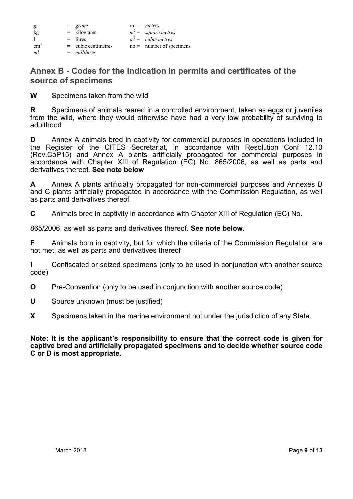| g             | $=$ grams             | $m =$ metres               |
|---------------|-----------------------|----------------------------|
| kg            | $=$ kilograms         | $m^2$ = square metres      |
| $\mathbf{1}$  | $=$ litres            | $m^3$ = cubic metres       |
| $\text{cm}^3$ | $=$ cubic centimetres | $no =$ number of specimens |
| ml            | $=$ millilitres       |                            |

## **Annex B - Codes for the indication in permits and certificates of the source of specimens**

**W** Specimens taken from the wild

**R** Specimens of animals reared in a controlled environment, taken as eggs or juveniles from the wild, where they would otherwise have had a very low probability of surviving to adulthood

**D** Annex A animals bred in captivity for commercial purposes in operations included in the Register of the CITES Secretariat, in accordance with Resolution Conf 12.10 (Rev.CoP15) and Annex A plants artificially propagated for commercial purposes in accordance with Chapter XIII of Regulation (EC) No. 865/2006, as well as parts and derivatives thereof. **See note below**

**A** Annex A plants artificially propagated for non-commercial purposes and Annexes B and C plants artificially propagated in accordance with the Commission Regulation, as well as parts and derivatives thereof

**C** Animals bred in captivity in accordance with Chapter XIII of Regulation (EC) No.

865/2006, as well as parts and derivatives thereof. **See note below.**

**F** Animals born in captivity, but for which the criteria of the Commission Regulation are not met, as well as parts and derivatives thereof

**I** Confiscated or seized specimens (only to be used in conjunction with another source code)

**O** Pre-Convention (only to be used in conjunction with another source code)

**U** Source unknown (must be justified)

**X** Specimens taken in the marine environment not under the jurisdiction of any State.

**Note: It is the applicant's responsibility to ensure that the correct code is given for captive bred and artificially propagated specimens and to decide whether source code C or D is most appropriate.**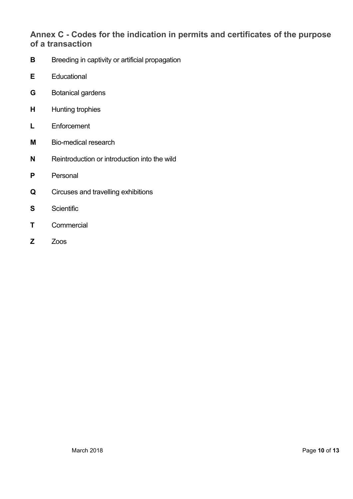## **Annex C - Codes for the indication in permits and certificates of the purpose of a transaction**

- **B** Breeding in captivity or artificial propagation
- **E** Educational
- **G** Botanical gardens
- **H** Hunting trophies
- **L** Enforcement
- **M** Bio-medical research
- **N** Reintroduction or introduction into the wild
- **P** Personal
- **Q** Circuses and travelling exhibitions
- **S** Scientific
- **T** Commercial
- **Z** Zoos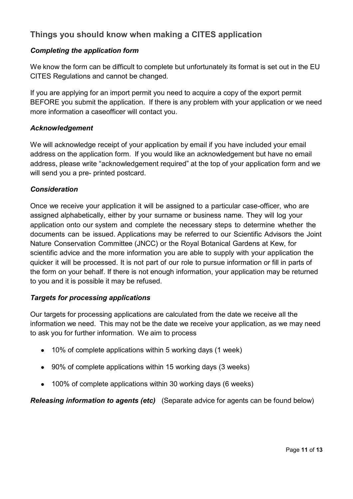## **Things you should know when making a CITES application**

#### *Completing the application form*

We know the form can be difficult to complete but unfortunately its format is set out in the EU CITES Regulations and cannot be changed.

If you are applying for an import permit you need to acquire a copy of the export permit BEFORE you submit the application. If there is any problem with your application or we need more information a caseofficer will contact you.

#### *Acknowledgement*

We will acknowledge receipt of your application by email if you have included your email address on the application form. If you would like an acknowledgement but have no email address, please write "acknowledgement required" at the top of your application form and we will send you a pre- printed postcard.

#### *Consideration*

Once we receive your application it will be assigned to a particular case-officer, who are assigned alphabetically, either by your surname or business name. They will log your application onto our system and complete the necessary steps to determine whether the documents can be issued. Applications may be referred to our Scientific Advisors the Joint Nature Conservation Committee (JNCC) or the Royal Botanical Gardens at Kew, for scientific advice and the more information you are able to supply with your application the quicker it will be processed. It is not part of our role to pursue information or fill in parts of the form on your behalf. If there is not enough information, your application may be returned to you and it is possible it may be refused.

#### *Targets for processing applications*

Our targets for processing applications are calculated from the date we receive all the information we need. This may not be the date we receive your application, as we may need to ask you for further information. We aim to process

- 10% of complete applications within 5 working days (1 week)
- 90% of complete applications within 15 working days (3 weeks)
- 100% of complete applications within 30 working days (6 weeks)

*Releasing information to agents (etc)* (Separate advice for agents can be found below)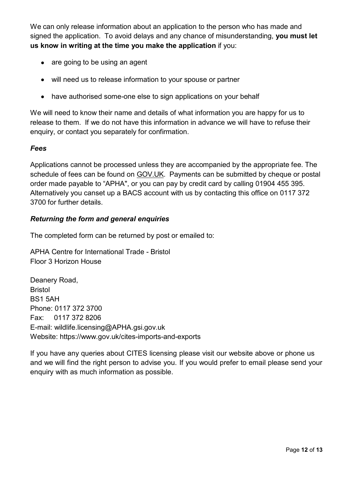We can only release information about an application to the person who has made and signed the application. To avoid delays and any chance of misunderstanding, **you must let us know in writing at the time you make the application** if you:

- are going to be using an agent
- will need us to release information to your spouse or partner
- have authorised some-one else to sign applications on your behalf

We will need to know their name and details of what information you are happy for us to release to them. If we do not have this information in advance we will have to refuse their enquiry, or contact you separately for confirmation.

#### *Fees*

Applications cannot be processed unless they are accompanied by the appropriate fee. The schedule of fees can be found on [GOV.UK.](https://www.gov.uk/cites-imports-and-exports#charges) Payments can be submitted by cheque or postal order made payable to "APHA", or you can pay by credit card by calling 01904 455 395. Alternatively you canset up a BACS account with us by contacting this office on 0117 372 3700 for further details.

#### *Returning the form and general enquiries*

The completed form can be returned by post or emailed to:

APHA Centre for International Trade - Bristol Floor 3 Horizon House

Deanery Road, Bristol BS1 5AH Phone: 0117 372 3700 Fax: 0117 372 8206 E-mail: [wildlife.licensing@APHA.gsi.gov.uk](mailto:wildlife.licensing@APHA.gsi.gov.uk) Website: https:/[/www.gov.uk/cites-imports-and-exports](http://www.gov.uk/cites-imports-and-exports)

If you have any queries about CITES licensing please visit our website above or phone us and we will find the right person to advise you. If you would prefer to email please send your enquiry with as much information as possible.